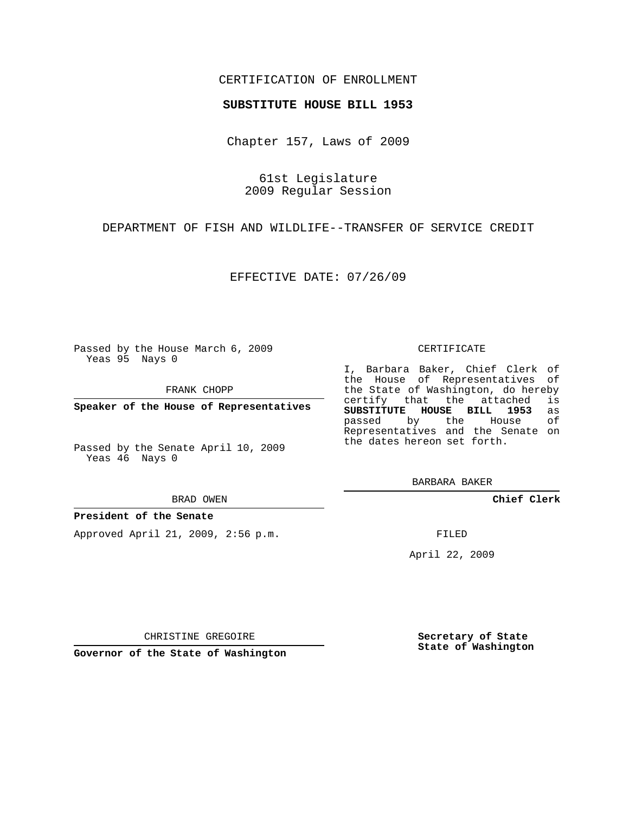## CERTIFICATION OF ENROLLMENT

### **SUBSTITUTE HOUSE BILL 1953**

Chapter 157, Laws of 2009

61st Legislature 2009 Regular Session

DEPARTMENT OF FISH AND WILDLIFE--TRANSFER OF SERVICE CREDIT

EFFECTIVE DATE: 07/26/09

Passed by the House March 6, 2009 Yeas 95 Nays 0

FRANK CHOPP

**Speaker of the House of Representatives**

Passed by the Senate April 10, 2009 Yeas 46 Nays 0

#### BRAD OWEN

### **President of the Senate**

Approved April 21, 2009, 2:56 p.m.

#### CERTIFICATE

I, Barbara Baker, Chief Clerk of the House of Representatives of the State of Washington, do hereby<br>certify that the attached is certify that the attached **SUBSTITUTE HOUSE BILL 1953** as passed by the House of Representatives and the Senate on the dates hereon set forth.

BARBARA BAKER

**Chief Clerk**

FILED

April 22, 2009

**Secretary of State State of Washington**

CHRISTINE GREGOIRE

**Governor of the State of Washington**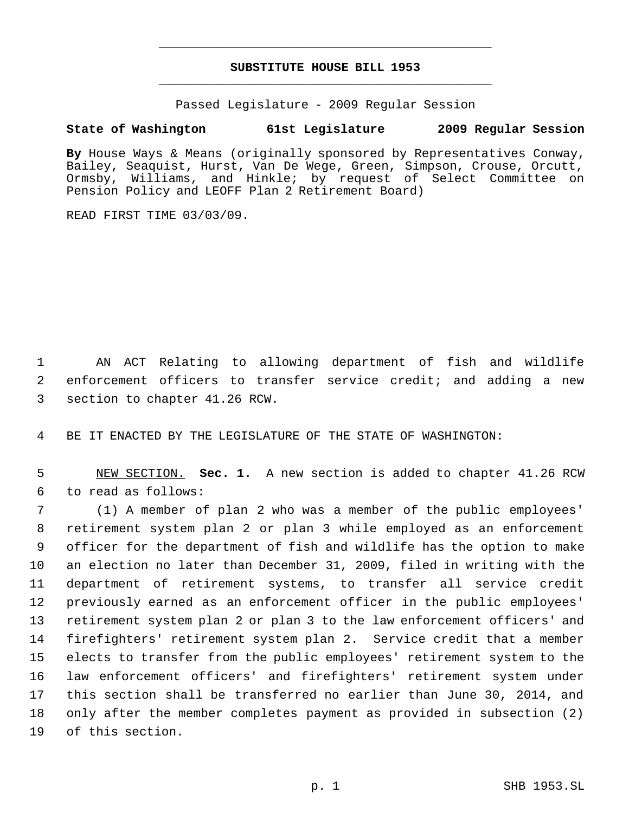# **SUBSTITUTE HOUSE BILL 1953** \_\_\_\_\_\_\_\_\_\_\_\_\_\_\_\_\_\_\_\_\_\_\_\_\_\_\_\_\_\_\_\_\_\_\_\_\_\_\_\_\_\_\_\_\_

\_\_\_\_\_\_\_\_\_\_\_\_\_\_\_\_\_\_\_\_\_\_\_\_\_\_\_\_\_\_\_\_\_\_\_\_\_\_\_\_\_\_\_\_\_

Passed Legislature - 2009 Regular Session

# **State of Washington 61st Legislature 2009 Regular Session**

**By** House Ways & Means (originally sponsored by Representatives Conway, Bailey, Seaquist, Hurst, Van De Wege, Green, Simpson, Crouse, Orcutt, Ormsby, Williams, and Hinkle; by request of Select Committee on Pension Policy and LEOFF Plan 2 Retirement Board)

READ FIRST TIME 03/03/09.

 AN ACT Relating to allowing department of fish and wildlife enforcement officers to transfer service credit; and adding a new section to chapter 41.26 RCW.

BE IT ENACTED BY THE LEGISLATURE OF THE STATE OF WASHINGTON:

 NEW SECTION. **Sec. 1.** A new section is added to chapter 41.26 RCW to read as follows:

 (1) A member of plan 2 who was a member of the public employees' retirement system plan 2 or plan 3 while employed as an enforcement officer for the department of fish and wildlife has the option to make an election no later than December 31, 2009, filed in writing with the department of retirement systems, to transfer all service credit previously earned as an enforcement officer in the public employees' retirement system plan 2 or plan 3 to the law enforcement officers' and firefighters' retirement system plan 2. Service credit that a member elects to transfer from the public employees' retirement system to the law enforcement officers' and firefighters' retirement system under this section shall be transferred no earlier than June 30, 2014, and only after the member completes payment as provided in subsection (2) of this section.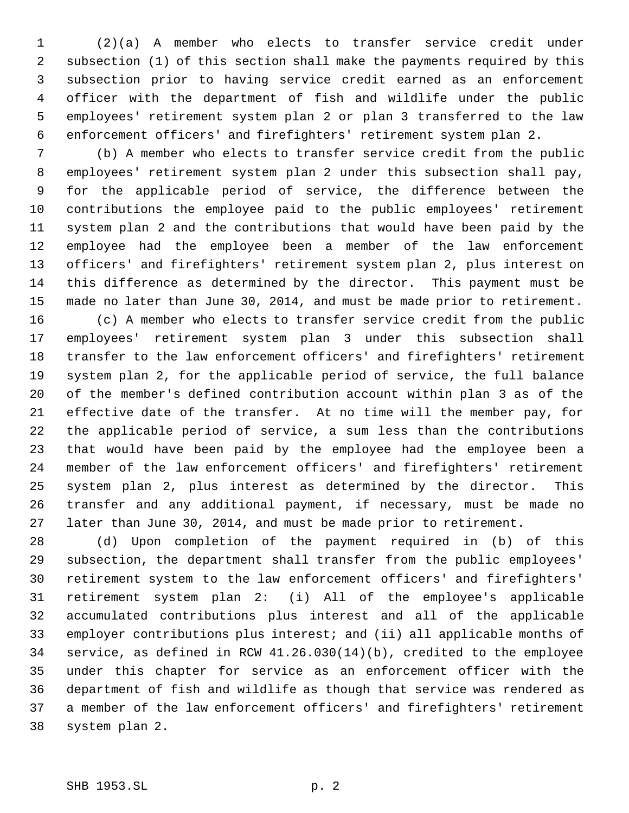(2)(a) A member who elects to transfer service credit under subsection (1) of this section shall make the payments required by this subsection prior to having service credit earned as an enforcement officer with the department of fish and wildlife under the public employees' retirement system plan 2 or plan 3 transferred to the law enforcement officers' and firefighters' retirement system plan 2.

 (b) A member who elects to transfer service credit from the public employees' retirement system plan 2 under this subsection shall pay, for the applicable period of service, the difference between the contributions the employee paid to the public employees' retirement system plan 2 and the contributions that would have been paid by the employee had the employee been a member of the law enforcement officers' and firefighters' retirement system plan 2, plus interest on this difference as determined by the director. This payment must be made no later than June 30, 2014, and must be made prior to retirement.

 (c) A member who elects to transfer service credit from the public employees' retirement system plan 3 under this subsection shall transfer to the law enforcement officers' and firefighters' retirement system plan 2, for the applicable period of service, the full balance of the member's defined contribution account within plan 3 as of the effective date of the transfer. At no time will the member pay, for the applicable period of service, a sum less than the contributions that would have been paid by the employee had the employee been a member of the law enforcement officers' and firefighters' retirement system plan 2, plus interest as determined by the director. This transfer and any additional payment, if necessary, must be made no later than June 30, 2014, and must be made prior to retirement.

 (d) Upon completion of the payment required in (b) of this subsection, the department shall transfer from the public employees' retirement system to the law enforcement officers' and firefighters' retirement system plan 2: (i) All of the employee's applicable accumulated contributions plus interest and all of the applicable employer contributions plus interest; and (ii) all applicable months of service, as defined in RCW 41.26.030(14)(b), credited to the employee under this chapter for service as an enforcement officer with the department of fish and wildlife as though that service was rendered as a member of the law enforcement officers' and firefighters' retirement system plan 2.